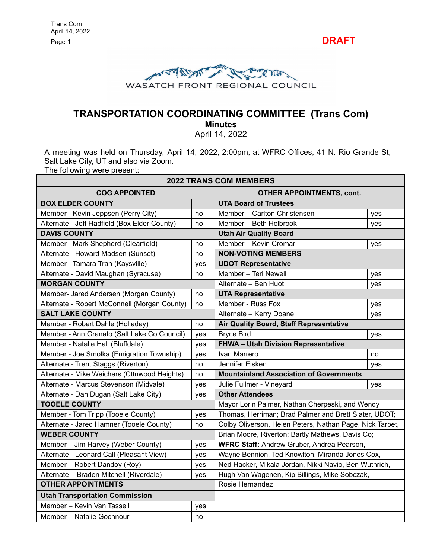Page 1 **DRAFT** 



# **TRANSPORTATION COORDINATING COMMITTEE (Trans Com)**

**Minutes**

April 14, 2022

A meeting was held on Thursday, April 14, 2022, 2:00pm, at WFRC Offices, 41 N. Rio Grande St, Salt Lake City, UT and also via Zoom.

The following were present:

| <b>2022 TRANS COM MEMBERS</b>                |     |                                                          |     |
|----------------------------------------------|-----|----------------------------------------------------------|-----|
| <b>COG APPOINTED</b>                         |     | <b>OTHER APPOINTMENTS, cont.</b>                         |     |
| <b>BOX ELDER COUNTY</b>                      |     | <b>UTA Board of Trustees</b>                             |     |
| Member - Kevin Jeppsen (Perry City)          | no  | Member - Carlton Christensen                             | yes |
| Alternate - Jeff Hadfield (Box Elder County) | no  | Member - Beth Holbrook                                   | yes |
| <b>DAVIS COUNTY</b>                          |     | <b>Utah Air Quality Board</b>                            |     |
| Member - Mark Shepherd (Clearfield)          | no  | Member - Kevin Cromar                                    | yes |
| Alternate - Howard Madsen (Sunset)           | no  | <b>NON-VOTING MEMBERS</b>                                |     |
| Member - Tamara Tran (Kaysville)             | yes | <b>UDOT Representative</b>                               |     |
| Alternate - David Maughan (Syracuse)         | no  | Member - Teri Newell                                     | yes |
| <b>MORGAN COUNTY</b>                         |     | Alternate - Ben Huot                                     | yes |
| Member- Jared Andersen (Morgan County)       | no  | <b>UTA Representative</b>                                |     |
| Alternate - Robert McConnell (Morgan County) | no  | Member - Russ Fox                                        | yes |
| <b>SALT LAKE COUNTY</b>                      |     | Alternate - Kerry Doane                                  | yes |
| Member - Robert Dahle (Holladay)             | no  | <b>Air Quality Board, Staff Representative</b>           |     |
| Member - Ann Granato (Salt Lake Co Council)  | yes | <b>Bryce Bird</b>                                        | yes |
| Member - Natalie Hall (Bluffdale)            | yes | <b>FHWA - Utah Division Representative</b>               |     |
| Member - Joe Smolka (Emigration Township)    | yes | Ivan Marrero                                             | no  |
| Alternate - Trent Staggs (Riverton)          | no  | Jennifer Elsken                                          | yes |
| Alternate - Mike Weichers (Cttnwood Heights) | no  | <b>Mountainland Association of Governments</b>           |     |
| Alternate - Marcus Stevenson (Midvale)       | yes | Julie Fullmer - Vineyard                                 | yes |
| Alternate - Dan Dugan (Salt Lake City)       | yes | <b>Other Attendees</b>                                   |     |
| <b>TOOELE COUNTY</b>                         |     | Mayor Lorin Palmer, Nathan Cherpeski, and Wendy          |     |
| Member - Tom Tripp (Tooele County)           | yes | Thomas, Herriman; Brad Palmer and Brett Slater, UDOT;    |     |
| Alternate - Jared Hamner (Tooele County)     | no  | Colby Oliverson, Helen Peters, Nathan Page, Nick Tarbet, |     |
| <b>WEBER COUNTY</b>                          |     | Brian Moore, Riverton; Bartly Mathews, Davis Co;         |     |
| Member - Jim Harvey (Weber County)           | yes | WFRC Staff: Andrew Gruber, Andrea Pearson,               |     |
| Alternate - Leonard Call (Pleasant View)     | yes | Wayne Bennion, Ted Knowlton, Miranda Jones Cox,          |     |
| Member - Robert Dandoy (Roy)                 | yes | Ned Hacker, Mikala Jordan, Nikki Navio, Ben Wuthrich,    |     |
| Alternate - Braden Mitchell (Riverdale)      | yes | Hugh Van Wagenen, Kip Billings, Mike Sobczak,            |     |
| <b>OTHER APPOINTMENTS</b>                    |     | Rosie Hernandez                                          |     |
| <b>Utah Transportation Commission</b>        |     |                                                          |     |
| Member - Kevin Van Tassell                   | yes |                                                          |     |
| Member - Natalie Gochnour                    | no  |                                                          |     |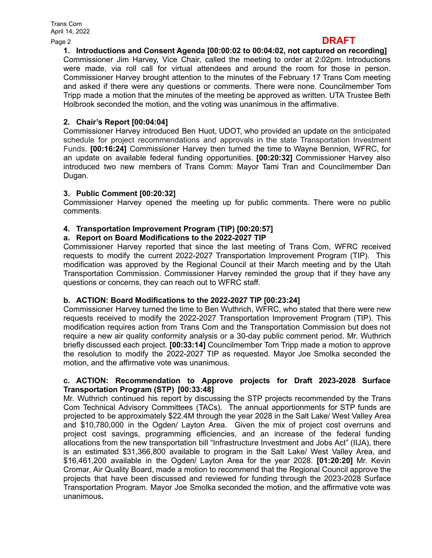## Page <sup>2</sup> **DRAFT**

**1. Introductions and Consent Agenda [00:00:02 to 00:04:02, not captured on recording]** Commissioner Jim Harvey, Vice Chair, called the meeting to order at 2:02pm. Introductions were made, via roll call for virtual attendees and around the room for those in person. Commissioner Harvey brought attention to the minutes of the February 17 Trans Com meeting and asked if there were any questions or comments. There were none. Councilmember Tom Tripp made a motion that the minutes of the meeting be approved as written. UTA Trustee Beth Holbrook seconded the motion, and the voting was unanimous in the affirmative.

## **2. Chair's Report [00:04:04]**

Commissioner Harvey introduced Ben Huot, UDOT, who provided an update on the anticipated schedule for project recommendations and approvals in the state Transportation Investment Funds. **[00:16:24]** Commissioner Harvey then turned the time to Wayne Bennion, WFRC, for an update on available federal funding opportunities. **[00:20:32]** Commissioner Harvey also introduced two new members of Trans Comm: Mayor Tami Tran and Councilmember Dan Dugan.

## **3. Public Comment [00:20:32]**

Commissioner Harvey opened the meeting up for public comments. There were no public comments.

## **4. Transportation Improvement Program (TIP) [00:20:57]**

## **a. Report on Board Modifications to the 2022-2027 TIP**

Commissioner Harvey reported that since the last meeting of Trans Com, WFRC received requests to modify the current 2022-2027 Transportation Improvement Program (TIP). This modification was approved by the Regional Council at their March meeting and by the Utah Transportation Commission. Commissioner Harvey reminded the group that if they have any questions or concerns, they can reach out to WFRC staff.

## **b. ACTION: Board Modifications to the 2022-2027 TIP [00:23:24]**

Commissioner Harvey turned the time to Ben Wuthrich, WFRC, who stated that there were new requests received to modify the 2022-2027 Transportation Improvement Program (TIP). This modification requires action from Trans Com and the Transportation Commission but does not require a new air quality conformity analysis or a 30-day public comment period. Mr. Wuthrich briefly discussed each project. **[00:33:14]** Councilmember Tom Tripp made a motion to approve the resolution to modify the 2022-2027 TIP as requested. Mayor Joe Smolka seconded the motion, and the affirmative vote was unanimous.

#### **c. ACTION: Recommendation to Approve projects for Draft 2023-2028 Surface Transportation Program (STP) [00:33:48]**

Mr. Wuthrich continued his report by discussing the STP projects recommended by the Trans Com Technical Advisory Committees (TACs). The annual apportionments for STP funds are projected to be approximately \$22.4M through the year 2028 in the Salt Lake/ West Valley Area and \$10,780,000 in the Ogden/ Layton Area. Given the mix of project cost overruns and project cost savings, programming efficiencies, and an increase of the federal funding allocations from the new transportation bill "Infrastructure Investment and Jobs Act" (IIJA), there is an estimated \$31,366,800 available to program in the Salt Lake/ West Valley Area, and \$16,461,200 available in the Ogden/ Layton Area for the year 2028. **[01:20:20]** Mr. Kevin Cromar, Air Quality Board, made a motion to recommend that the Regional Council approve the projects that have been discussed and reviewed for funding through the 2023-2028 Surface Transportation Program. Mayor Joe Smolka seconded the motion, and the affirmative vote was unanimous**.**